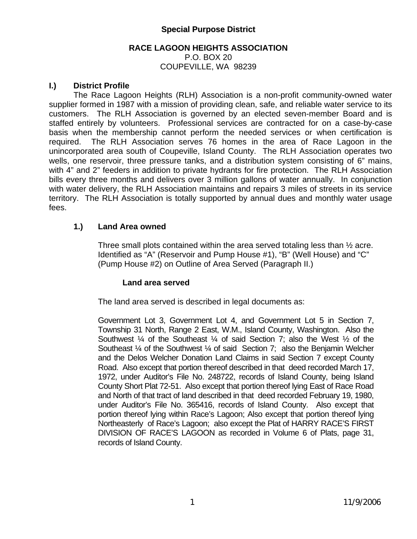## **Special Purpose District**

#### **RACE LAGOON HEIGHTS ASSOCIATION**  P.O. BOX 20 COUPEVILLE, WA 98239

#### **I.) District Profile**

The Race Lagoon Heights (RLH) Association is a non-profit community-owned water supplier formed in 1987 with a mission of providing clean, safe, and reliable water service to its customers. The RLH Association is governed by an elected seven-member Board and is staffed entirely by volunteers. Professional services are contracted for on a case-by-case basis when the membership cannot perform the needed services or when certification is required. The RLH Association serves 76 homes in the area of Race Lagoon in the unincorporated area south of Coupeville, Island County. The RLH Association operates two wells, one reservoir, three pressure tanks, and a distribution system consisting of 6" mains, with 4" and 2" feeders in addition to private hydrants for fire protection. The RLH Association bills every three months and delivers over 3 million gallons of water annually. In conjunction with water delivery, the RLH Association maintains and repairs 3 miles of streets in its service territory. The RLH Association is totally supported by annual dues and monthly water usage fees.

#### **1.) Land Area owned**

Three small plots contained within the area served totaling less than ½ acre. Identified as "A" (Reservoir and Pump House #1), "B" (Well House) and "C" (Pump House #2) on Outline of Area Served (Paragraph II.)

#### **Land area served**

The land area served is described in legal documents as:

Government Lot 3, Government Lot 4, and Government Lot 5 in Section 7, Township 31 North, Range 2 East, W.M., Island County, Washington. Also the Southwest  $\frac{1}{4}$  of the Southeast  $\frac{1}{4}$  of said Section 7; also the West  $\frac{1}{2}$  of the Southeast ¼ of the Southwest ¼ of said Section 7; also the Benjamin Welcher and the Delos Welcher Donation Land Claims in said Section 7 except County Road. Also except that portion thereof described in that deed recorded March 17, 1972, under Auditor's File No. 248722, records of Island County, being Island County Short Plat 72-51. Also except that portion thereof lying East of Race Road and North of that tract of land described in that deed recorded February 19, 1980, under Auditor's File No. 365416, records of Island County. Also except that portion thereof lying within Race's Lagoon; Also except that portion thereof lying Northeasterly of Race's Lagoon; also except the Plat of HARRY RACE'S FIRST DIVISION OF RACE'S LAGOON as recorded in Volume 6 of Plats, page 31, records of Island County.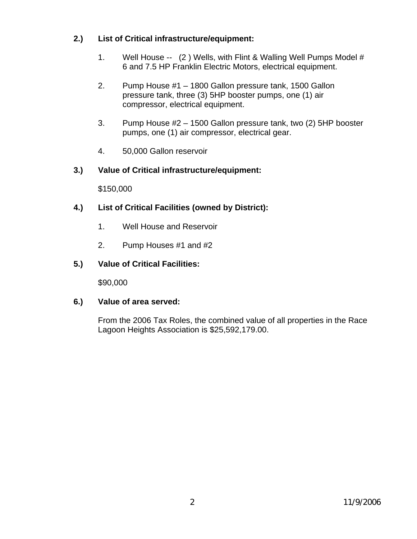# **2.) List of Critical infrastructure/equipment:**

- 1. Well House -- (2 ) Wells, with Flint & Walling Well Pumps Model # 6 and 7.5 HP Franklin Electric Motors, electrical equipment.
- 2. Pump House #1 1800 Gallon pressure tank, 1500 Gallon pressure tank, three (3) 5HP booster pumps, one (1) air compressor, electrical equipment.
- 3. Pump House #2 1500 Gallon pressure tank, two (2) 5HP booster pumps, one (1) air compressor, electrical gear.
- 4. 50,000 Gallon reservoir

# **3.) Value of Critical infrastructure/equipment:**

\$150,000

## **4.) List of Critical Facilities (owned by District):**

- 1. Well House and Reservoir
- 2. Pump Houses #1 and #2

## **5.) Value of Critical Facilities:**

\$90,000

### **6.) Value of area served:**

From the 2006 Tax Roles, the combined value of all properties in the Race Lagoon Heights Association is \$25,592,179.00.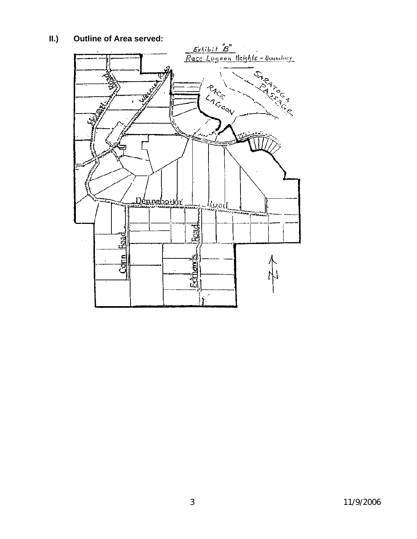# **II.) Outline of Area served:**

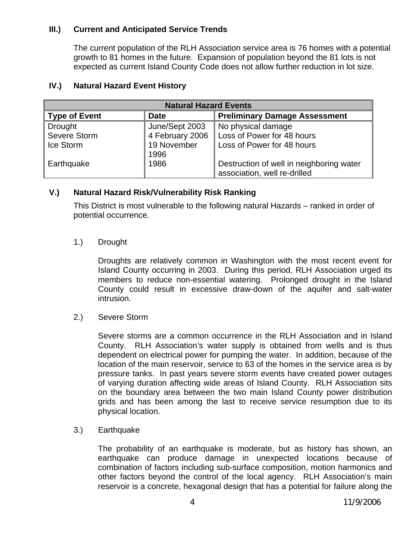## **III.) Current and Anticipated Service Trends**

The current population of the RLH Association service area is 76 homes with a potential growth to 81 homes in the future. Expansion of population beyond the 81 lots is not expected as current Island County Code does not allow further reduction in lot size.

| <b>Natural Hazard Events</b> |                     |                                                                          |  |  |
|------------------------------|---------------------|--------------------------------------------------------------------------|--|--|
| <b>Type of Event</b>         | <b>Date</b>         | <b>Preliminary Damage Assessment</b>                                     |  |  |
| <b>Drought</b>               | June/Sept 2003      | No physical damage                                                       |  |  |
| Severe Storm                 | 4 February 2006     | Loss of Power for 48 hours                                               |  |  |
| Ice Storm                    | 19 November<br>1996 | Loss of Power for 48 hours                                               |  |  |
| Earthquake                   | 1986                | Destruction of well in neighboring water<br>association, well re-drilled |  |  |

#### **IV.) Natural Hazard Event History**

# **V.) Natural Hazard Risk/Vulnerability Risk Ranking**

This District is most vulnerable to the following natural Hazards – ranked in order of potential occurrence.

### 1.) Drought

Droughts are relatively common in Washington with the most recent event for Island County occurring in 2003. During this period, RLH Association urged its members to reduce non-essential watering. Prolonged drought in the Island County could result in excessive draw-down of the aquifer and salt-water intrusion.

2.) Severe Storm

Severe storms are a common occurrence in the RLH Association and in Island County. RLH Association's water supply is obtained from wells and is thus dependent on electrical power for pumping the water. In addition, because of the location of the main reservoir, service to 63 of the homes in the service area is by pressure tanks. In past years severe storm events have created power outages of varying duration affecting wide areas of Island County. RLH Association sits on the boundary area between the two main Island County power distribution grids and has been among the last to receive service resumption due to its physical location.

3.) Earthquake

The probability of an earthquake is moderate, but as history has shown, an earthquake can produce damage in unexpected locations because of combination of factors including sub-surface composition, motion harmonics and other factors beyond the control of the local agency. RLH Association's main reservoir is a concrete, hexagonal design that has a potential for failure along the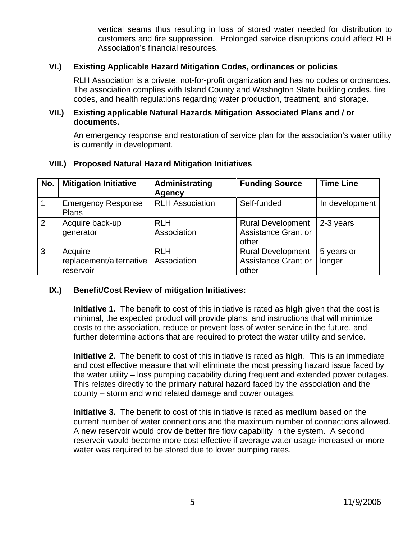vertical seams thus resulting in loss of stored water needed for distribution to customers and fire suppression. Prolonged service disruptions could affect RLH Association's financial resources.

### **VI.) Existing Applicable Hazard Mitigation Codes, ordinances or policies**

RLH Association is a private, not-for-profit organization and has no codes or ordnances. The association complies with Island County and Washngton State building codes, fire codes, and health regulations regarding water production, treatment, and storage.

#### **VII.) Existing applicable Natural Hazards Mitigation Associated Plans and / or documents.**

An emergency response and restoration of service plan for the association's water utility is currently in development.

| No.            | <b>Mitigation Initiative</b>                    | Administrating<br><b>Agency</b> | <b>Funding Source</b>                                           | <b>Time Line</b>     |
|----------------|-------------------------------------------------|---------------------------------|-----------------------------------------------------------------|----------------------|
| $\overline{1}$ | <b>Emergency Response</b><br><b>Plans</b>       | <b>RLH Association</b>          | Self-funded                                                     | In development       |
| $\overline{2}$ | Acquire back-up<br>generator                    | <b>RLH</b><br>Association       | <b>Rural Development</b><br>Assistance Grant or<br>other        | 2-3 years            |
| $\overline{3}$ | Acquire<br>replacement/alternative<br>reservoir | <b>RLH</b><br>Association       | <b>Rural Development</b><br><b>Assistance Grant or</b><br>other | 5 years or<br>longer |

### **VIII.) Proposed Natural Hazard Mitigation Initiatives**

# **IX.) Benefit/Cost Review of mitigation Initiatives:**

**Initiative 1.** The benefit to cost of this initiative is rated as **high** given that the cost is minimal, the expected product will provide plans, and instructions that will minimize costs to the association, reduce or prevent loss of water service in the future, and further determine actions that are required to protect the water utility and service.

**Initiative 2.** The benefit to cost of this initiative is rated as **high**. This is an immediate and cost effective measure that will eliminate the most pressing hazard issue faced by the water utility – loss pumping capability during frequent and extended power outages. This relates directly to the primary natural hazard faced by the association and the county – storm and wind related damage and power outages.

**Initiative 3.** The benefit to cost of this initiative is rated as **medium** based on the current number of water connections and the maximum number of connections allowed. A new reservoir would provide better fire flow capability in the system. A second reservoir would become more cost effective if average water usage increased or more water was required to be stored due to lower pumping rates.